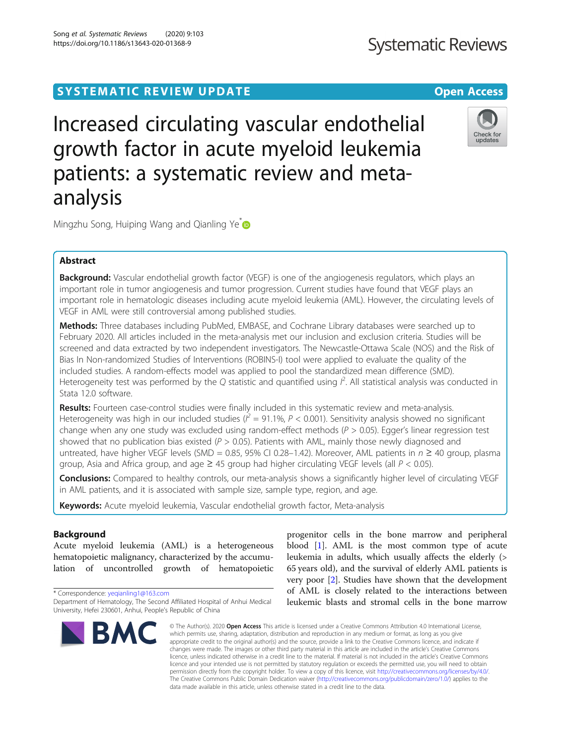# SYSTEMATIC REVIEW UPDATE **SYSTEMATIC REVIEW** UPDATE

Increased circulating vascular endothelial growth factor in acute myeloid leukemia patients: a systematic review and metaanalysis

Mingzhu Song, Huiping Wang and Qianling Ye<sup>[\\*](http://orcid.org/0000-0003-0013-7528)</sup>

## Abstract

Background: Vascular endothelial growth factor (VEGF) is one of the angiogenesis regulators, which plays an important role in tumor angiogenesis and tumor progression. Current studies have found that VEGF plays an important role in hematologic diseases including acute myeloid leukemia (AML). However, the circulating levels of VEGF in AML were still controversial among published studies.

Methods: Three databases including PubMed, EMBASE, and Cochrane Library databases were searched up to February 2020. All articles included in the meta-analysis met our inclusion and exclusion criteria. Studies will be screened and data extracted by two independent investigators. The Newcastle-Ottawa Scale (NOS) and the Risk of Bias In Non-randomized Studies of Interventions (ROBINS-I) tool were applied to evaluate the quality of the included studies. A random-effects model was applied to pool the standardized mean difference (SMD). Heterogeneity test was performed by the Q statistic and quantified using  $l^2$ . All statistical analysis was conducted in Stata 12.0 software.

Results: Fourteen case-control studies were finally included in this systematic review and meta-analysis. Heterogeneity was high in our included studies ( $l^2$  = 91.1%, P < 0.001). Sensitivity analysis showed no significant change when any one study was excluded using random-effect methods ( $P > 0.05$ ). Egger's linear regression test showed that no publication bias existed ( $P > 0.05$ ). Patients with AML, mainly those newly diagnosed and untreated, have higher VEGF levels (SMD = 0.85, 95% CI 0.28–1.42). Moreover, AML patients in  $n \ge 40$  group, plasma group, Asia and Africa group, and age  $\geq$  45 group had higher circulating VEGF levels (all  $P < 0.05$ ).

**Conclusions:** Compared to healthy controls, our meta-analysis shows a significantly higher level of circulating VEGF in AML patients, and it is associated with sample size, sample type, region, and age.

Keywords: Acute myeloid leukemia, Vascular endothelial growth factor, Meta-analysis

## Background

Acute myeloid leukemia (AML) is a heterogeneous hematopoietic malignancy, characterized by the accumulation of uncontrolled growth of hematopoietic

\* Correspondence: [yeqianling1@163.com](mailto:yeqianling1@163.com)

BMC

appropriate credit to the original author(s) and the source, provide a link to the Creative Commons licence, and indicate if changes were made. The images or other third party material in this article are included in the article's Creative Commons licence, unless indicated otherwise in a credit line to the material. If material is not included in the article's Creative Commons licence and your intended use is not permitted by statutory regulation or exceeds the permitted use, you will need to obtain permission directly from the copyright holder. To view a copy of this licence, visit [http://creativecommons.org/licenses/by/4.0/.](http://creativecommons.org/licenses/by/4.0/) The Creative Commons Public Domain Dedication waiver [\(http://creativecommons.org/publicdomain/zero/1.0/](http://creativecommons.org/publicdomain/zero/1.0/)) applies to the data made available in this article, unless otherwise stated in a credit line to the data.

© The Author(s), 2020 **Open Access** This article is licensed under a Creative Commons Attribution 4.0 International License, which permits use, sharing, adaptation, distribution and reproduction in any medium or format, as long as you give

progenitor cells in the bone marrow and peripheral blood [[1\]](#page-6-0). AML is the most common type of acute leukemia in adults, which usually affects the elderly (> 65 years old), and the survival of elderly AML patients is very poor [\[2\]](#page-6-0). Studies have shown that the development of AML is closely related to the interactions between leukemic blasts and stromal cells in the bone marrow



**Systematic Reviews** 



Department of Hematology, The Second Affiliated Hospital of Anhui Medical University, Hefei 230601, Anhui, People's Republic of China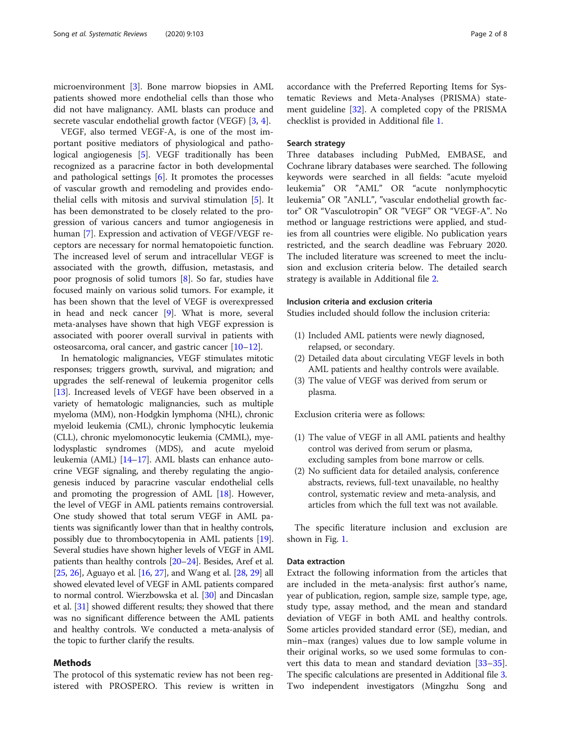microenvironment [[3\]](#page-6-0). Bone marrow biopsies in AML patients showed more endothelial cells than those who did not have malignancy. AML blasts can produce and secrete vascular endothelial growth factor (VEGF) [\[3](#page-6-0), [4](#page-6-0)].

VEGF, also termed VEGF-A, is one of the most important positive mediators of physiological and pathological angiogenesis [\[5](#page-6-0)]. VEGF traditionally has been recognized as a paracrine factor in both developmental and pathological settings [[6](#page-6-0)]. It promotes the processes of vascular growth and remodeling and provides endothelial cells with mitosis and survival stimulation [[5\]](#page-6-0). It has been demonstrated to be closely related to the progression of various cancers and tumor angiogenesis in human [\[7](#page-6-0)]. Expression and activation of VEGF/VEGF receptors are necessary for normal hematopoietic function. The increased level of serum and intracellular VEGF is associated with the growth, diffusion, metastasis, and poor prognosis of solid tumors [[8](#page-6-0)]. So far, studies have focused mainly on various solid tumors. For example, it has been shown that the level of VEGF is overexpressed in head and neck cancer [[9\]](#page-6-0). What is more, several meta-analyses have shown that high VEGF expression is associated with poorer overall survival in patients with osteosarcoma, oral cancer, and gastric cancer [\[10](#page-6-0)–[12\]](#page-7-0).

In hematologic malignancies, VEGF stimulates mitotic responses; triggers growth, survival, and migration; and upgrades the self-renewal of leukemia progenitor cells [[13](#page-7-0)]. Increased levels of VEGF have been observed in a variety of hematologic malignancies, such as multiple myeloma (MM), non-Hodgkin lymphoma (NHL), chronic myeloid leukemia (CML), chronic lymphocytic leukemia (CLL), chronic myelomonocytic leukemia (CMML), myelodysplastic syndromes (MDS), and acute myeloid leukemia (AML) [\[14](#page-7-0)–[17\]](#page-7-0). AML blasts can enhance autocrine VEGF signaling, and thereby regulating the angiogenesis induced by paracrine vascular endothelial cells and promoting the progression of AML [\[18\]](#page-7-0). However, the level of VEGF in AML patients remains controversial. One study showed that total serum VEGF in AML patients was significantly lower than that in healthy controls, possibly due to thrombocytopenia in AML patients [[19](#page-7-0)]. Several studies have shown higher levels of VEGF in AML patients than healthy controls [[20](#page-7-0)–[24\]](#page-7-0). Besides, Aref et al. [[25](#page-7-0), [26\]](#page-7-0), Aguayo et al. [[16](#page-7-0), [27\]](#page-7-0), and Wang et al. [\[28,](#page-7-0) [29](#page-7-0)] all showed elevated level of VEGF in AML patients compared to normal control. Wierzbowska et al. [\[30\]](#page-7-0) and Dincaslan et al. [[31\]](#page-7-0) showed different results; they showed that there was no significant difference between the AML patients and healthy controls. We conducted a meta-analysis of the topic to further clarify the results.

## Methods

The protocol of this systematic review has not been registered with PROSPERO. This review is written in accordance with the Preferred Reporting Items for Systematic Reviews and Meta-Analyses (PRISMA) statement guideline [\[32\]](#page-7-0). A completed copy of the PRISMA checklist is provided in Additional file [1.](#page-6-0)

## Search strategy

Three databases including PubMed, EMBASE, and Cochrane library databases were searched. The following keywords were searched in all fields: "acute myeloid leukemia" OR "AML" OR "acute nonlymphocytic leukemia" OR "ANLL", "vascular endothelial growth factor" OR "Vasculotropin" OR "VEGF" OR "VEGF-A". No method or language restrictions were applied, and studies from all countries were eligible. No publication years restricted, and the search deadline was February 2020. The included literature was screened to meet the inclusion and exclusion criteria below. The detailed search strategy is available in Additional file [2.](#page-6-0)

### Inclusion criteria and exclusion criteria

Studies included should follow the inclusion criteria:

- (1) Included AML patients were newly diagnosed, relapsed, or secondary.
- (2) Detailed data about circulating VEGF levels in both AML patients and healthy controls were available.
- (3) The value of VEGF was derived from serum or plasma.

Exclusion criteria were as follows:

- (1) The value of VEGF in all AML patients and healthy control was derived from serum or plasma, excluding samples from bone marrow or cells.
- (2) No sufficient data for detailed analysis, conference abstracts, reviews, full-text unavailable, no healthy control, systematic review and meta-analysis, and articles from which the full text was not available.

The specific literature inclusion and exclusion are shown in Fig. [1](#page-2-0).

#### Data extraction

Extract the following information from the articles that are included in the meta-analysis: first author's name, year of publication, region, sample size, sample type, age, study type, assay method, and the mean and standard deviation of VEGF in both AML and healthy controls. Some articles provided standard error (SE), median, and min–max (ranges) values due to low sample volume in their original works, so we used some formulas to convert this data to mean and standard deviation [[33](#page-7-0)–[35](#page-7-0)]. The specific calculations are presented in Additional file [3](#page-6-0). Two independent investigators (Mingzhu Song and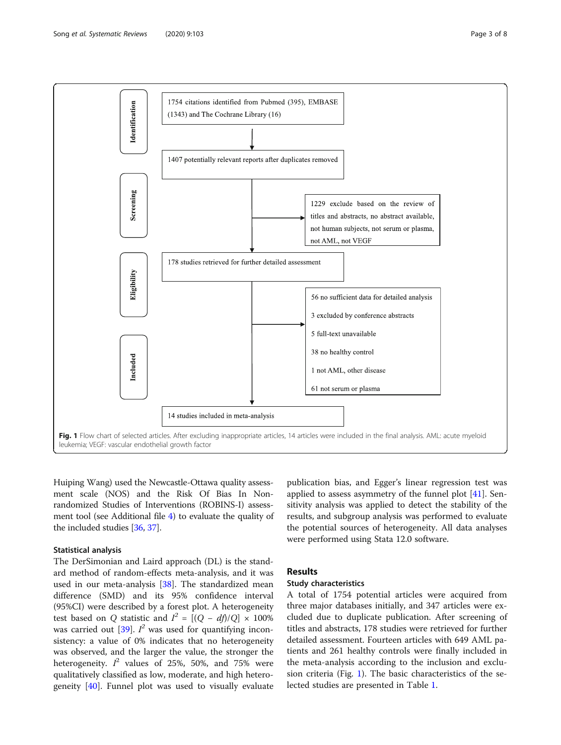<span id="page-2-0"></span>

Huiping Wang) used the Newcastle-Ottawa quality assessment scale (NOS) and the Risk Of Bias In Nonrandomized Studies of Interventions (ROBINS-I) assessment tool (see Additional file [4\)](#page-6-0) to evaluate the quality of the included studies [\[36,](#page-7-0) [37](#page-7-0)].

## Statistical analysis

The DerSimonian and Laird approach (DL) is the standard method of random-effects meta-analysis, and it was used in our meta-analysis [\[38](#page-7-0)]. The standardized mean difference (SMD) and its 95% confidence interval (95%CI) were described by a forest plot. A heterogeneity test based on Q statistic and  $I^2 = [(Q - df)/Q] \times 100\%$ was carried out [\[39\]](#page-7-0).  $I^2$  was used for quantifying inconsistency: a value of 0% indicates that no heterogeneity was observed, and the larger the value, the stronger the heterogeneity.  $I^2$  values of 25%, 50%, and 75% were qualitatively classified as low, moderate, and high heterogeneity [[40](#page-7-0)]. Funnel plot was used to visually evaluate

publication bias, and Egger's linear regression test was applied to assess asymmetry of the funnel plot [[41\]](#page-7-0). Sensitivity analysis was applied to detect the stability of the results, and subgroup analysis was performed to evaluate the potential sources of heterogeneity. All data analyses were performed using Stata 12.0 software.

## Results

#### Study characteristics

A total of 1754 potential articles were acquired from three major databases initially, and 347 articles were excluded due to duplicate publication. After screening of titles and abstracts, 178 studies were retrieved for further detailed assessment. Fourteen articles with 649 AML patients and 261 healthy controls were finally included in the meta-analysis according to the inclusion and exclusion criteria (Fig. 1). The basic characteristics of the selected studies are presented in Table [1.](#page-3-0)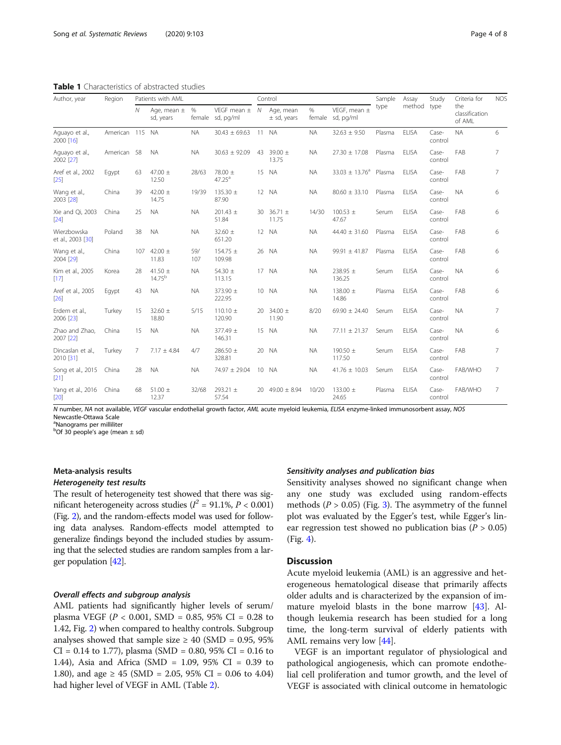<span id="page-3-0"></span>

| <b>Table 1</b> Characteristics of abstracted studies |  |
|------------------------------------------------------|--|
|------------------------------------------------------|--|

| Author, year                     | Region          | Patients with AML |                                |                | Control                        |    |                            |             | Sample                        | Assay  | Study        | Criteria for     | <b>NOS</b>                      |                |
|----------------------------------|-----------------|-------------------|--------------------------------|----------------|--------------------------------|----|----------------------------|-------------|-------------------------------|--------|--------------|------------------|---------------------------------|----------------|
|                                  |                 | $\mathcal N$      | Age, mean $\pm$<br>sd, years   | $\%$<br>female | VEGF mean $\pm$ N<br>sd, pg/ml |    | Age, mean<br>$±$ sd, years | %<br>female | VEGF, mean $\pm$<br>sd, pg/ml | type   | method       | type             | the<br>classification<br>of AML |                |
| Aquayo et al.,<br>2000 [16]      | American 115 NA |                   |                                | <b>NA</b>      | $30.43 \pm 69.63$              |    | 11 NA                      | <b>NA</b>   | $32.63 \pm 9.50$              | Plasma | <b>ELISA</b> | Case-<br>control | <b>NA</b>                       | 6              |
| Aquayo et al.,<br>2002 [27]      | American 58     |                   | <b>NA</b>                      | <b>NA</b>      | $30.63 \pm 92.09$              | 43 | $39.00 \pm$<br>13.75       | <b>NA</b>   | $27.30 \pm 17.08$             | Plasma | <b>ELISA</b> | Case-<br>control | FAB                             | $\overline{7}$ |
| Aref et al., 2002<br>$[25]$      | Egypt           | 63                | 47.00 $\pm$<br>12.50           | 28/63          | 78.00 ±<br>$47.25^a$           |    | 15 NA                      | NA.         | $33.03 \pm 13.76^a$           | Plasma | <b>ELISA</b> | Case-<br>control | FAB                             | $\overline{7}$ |
| Wang et al.,<br>2003 [28]        | China           | 39                | 42.00 $\pm$<br>14.75           | 19/39          | $135.30 \pm$<br>87.90          |    | 12 NA                      | <b>NA</b>   | $80.60 \pm 33.10$             | Plasma | <b>ELISA</b> | Case-<br>control | <b>NA</b>                       | 6              |
| Xie and Qi, 2003<br>[24]         | China           | 25                | <b>NA</b>                      | <b>NA</b>      | $201.43 \pm$<br>51.84          |    | 30 36.71 $\pm$<br>11.75    | 14/30       | $100.53 \pm$<br>47.67         | Serum  | <b>ELISA</b> | Case-<br>control | FAB                             | 6              |
| Wierzbowska<br>et al., 2003 [30] | Poland          | 38                | <b>NA</b>                      | <b>NA</b>      | $32.60 \pm$<br>651.20          |    | 12 NA                      | <b>NA</b>   | $44.40 \pm 31.60$             | Plasma | <b>ELISA</b> | Case-<br>control | FAB                             | 6              |
| Wang et al.,<br>2004 [29]        | China           | 107               | 42.00 $\pm$<br>11.83           | 59/<br>107     | $154.75 \pm$<br>109.98         |    | 26 NA                      | <b>NA</b>   | $99.91 \pm 41.87$             | Plasma | <b>ELISA</b> | Case-<br>control | FAB                             | 6              |
| Kim et al., 2005<br>$[17]$       | Korea           | 28                | 41.50 $\pm$<br>$14.75^{\rm b}$ | <b>NA</b>      | 54.30 $\pm$<br>113.15          |    | 17 NA                      | <b>NA</b>   | 238.95 $\pm$<br>136.25        | Serum  | <b>ELISA</b> | Case-<br>control | <b>NA</b>                       | 6              |
| Aref et al., 2005<br>$[26]$      | Egypt           | 43                | <b>NA</b>                      | <b>NA</b>      | 373.90 $\pm$<br>222.95         |    | 10 NA                      | <b>NA</b>   | $138.00 \pm$<br>14.86         | Plasma | <b>ELISA</b> | Case-<br>control | FAB                             | 6              |
| Erdem et al.,<br>2006 [23]       | Turkey          | 15                | $32.60 \pm$<br>18.80           | 5/15           | $110.10 \pm$<br>120.90         |    | 20 34.00 $\pm$<br>11.90    | 8/20        | $69.90 \pm 24.40$             | Serum  | <b>ELISA</b> | Case-<br>control | <b>NA</b>                       | 7              |
| Zhao and Zhao.<br>2007 [22]      | China           | 15                | <b>NA</b>                      | <b>NA</b>      | $377.49 \pm$<br>146.31         |    | 15 NA                      | <b>NA</b>   | $77.11 \pm 21.37$             | Serum  | <b>ELISA</b> | Case-<br>control | <b>NA</b>                       | 6              |
| Dincaslan et al.,<br>2010 [31]   | Turkey          | 7                 | $7.17 \pm 4.84$                | 4/7            | 286.50 $\pm$<br>328.81         |    | 20 NA                      | <b>NA</b>   | 190.50 $\pm$<br>117.50        | Serum  | <b>ELISA</b> | Case-<br>control | FAB                             | $\overline{7}$ |
| Song et al., 2015<br>[21]        | China           | 28                | <b>NA</b>                      | <b>NA</b>      | 74.97 ± 29.04                  |    | 10 NA                      | <b>NA</b>   | $41.76 \pm 10.03$             | Serum  | <b>ELISA</b> | Case-<br>control | FAB/WHO                         | $\overline{7}$ |
| Yang et al., 2016<br>$[20]$      | China           | 68                | 51.00 $\pm$<br>12.37           | 32/68          | 293.21 $\pm$<br>57.54          |    | 20 49.00 $\pm$ 8.94        | 10/20       | $133.00 \pm$<br>24.65         | Plasma | <b>ELISA</b> | Case-<br>control | FAB/WHO                         | 7              |

N number, NA not available, VEGF vascular endothelial growth factor, AML acute myeloid leukemia, ELISA enzyme-linked immunosorbent assay, NOS Newcastle-Ottawa Scale

<sup>a</sup>Nanograms per milliliter

b Of 30 people's age (mean ± sd)

## Meta-analysis results

## Heterogeneity test results

The result of heterogeneity test showed that there was significant heterogeneity across studies ( $l^2$  = 91.1%, P < 0.001) (Fig. [2](#page-4-0)), and the random-effects model was used for following data analyses. Random-effects model attempted to generalize findings beyond the included studies by assuming that the selected studies are random samples from a larger population [\[42\]](#page-7-0).

## Overall effects and subgroup analysis

AML patients had significantly higher levels of serum/ plasma VEGF (P < 0.001, SMD = 0.85, 95% CI = 0.28 to 1.42, Fig. [2\)](#page-4-0) when compared to healthy controls. Subgroup analyses showed that sample size  $\geq 40$  (SMD = 0.95, 95%) CI = 0.14 to 1.77), plasma (SMD = 0.80, 95% CI = 0.16 to 1.44), Asia and Africa (SMD = 1.09, 95% CI = 0.39 to 1.80), and age  $\geq$  45 (SMD = 2.05, 95% CI = 0.06 to 4.04) had higher level of VEGF in AML (Table [2\)](#page-4-0).

#### Sensitivity analyses and publication bias

Sensitivity analyses showed no significant change when any one study was excluded using random-effects methods ( $P > 0.05$ ) (Fig. [3](#page-5-0)). The asymmetry of the funnel plot was evaluated by the Egger's test, while Egger's linear regression test showed no publication bias ( $P > 0.05$ ) (Fig. [4](#page-5-0)).

#### **Discussion**

Acute myeloid leukemia (AML) is an aggressive and heterogeneous hematological disease that primarily affects older adults and is characterized by the expansion of immature myeloid blasts in the bone marrow [[43](#page-7-0)]. Although leukemia research has been studied for a long time, the long-term survival of elderly patients with AML remains very low [\[44\]](#page-7-0).

VEGF is an important regulator of physiological and pathological angiogenesis, which can promote endothelial cell proliferation and tumor growth, and the level of VEGF is associated with clinical outcome in hematologic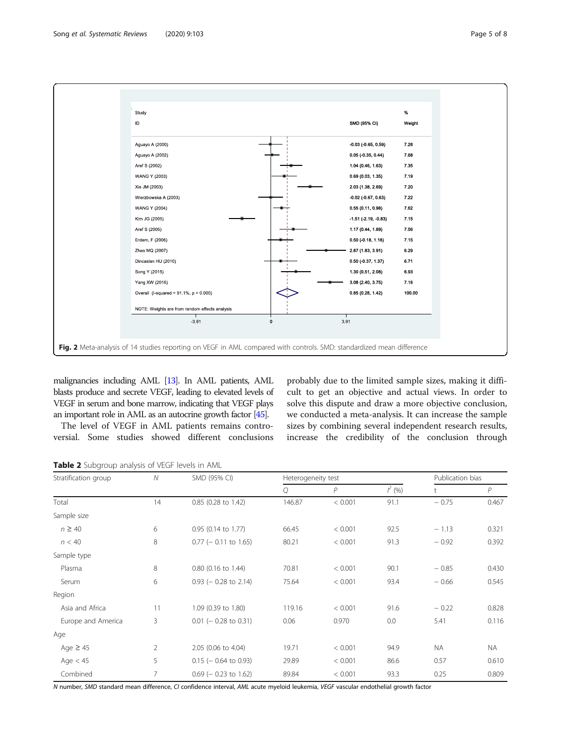<span id="page-4-0"></span>

malignancies including AML [\[13](#page-7-0)]. In AML patients, AML blasts produce and secrete VEGF, leading to elevated levels of VEGF in serum and bone marrow, indicating that VEGF plays an important role in AML as an autocrine growth factor [\[45\]](#page-7-0).

The level of VEGF in AML patients remains controversial. Some studies showed different conclusions probably due to the limited sample sizes, making it difficult to get an objective and actual views. In order to solve this dispute and draw a more objective conclusion, we conducted a meta-analysis. It can increase the sample sizes by combining several independent research results, increase the credibility of the conclusion through

|  | Table 2 Subgroup analysis of VEGF levels in AML |  |  |  |  |  |
|--|-------------------------------------------------|--|--|--|--|--|
|--|-------------------------------------------------|--|--|--|--|--|

| Stratification group | N              | SMD (95% CI)            | Heterogeneity test |                | Publication bias |           |           |
|----------------------|----------------|-------------------------|--------------------|----------------|------------------|-----------|-----------|
|                      |                |                         | Q                  | $\overline{P}$ | $I^2(96)$        | t         | P         |
| Total                | 14             | 0.85 (0.28 to 1.42)     | 146.87             | < 0.001        | 91.1             | $-0.75$   | 0.467     |
| Sample size          |                |                         |                    |                |                  |           |           |
| $n \geq 40$          | 6              | 0.95 (0.14 to 1.77)     | 66.45              | < 0.001        | 92.5             | $-1.13$   | 0.321     |
| n < 40               | 8              | $0.77$ (- 0.11 to 1.65) | 80.21              | < 0.001        | 91.3             | $-0.92$   | 0.392     |
| Sample type          |                |                         |                    |                |                  |           |           |
| Plasma               | 8              | 0.80 (0.16 to 1.44)     | 70.81              | < 0.001        | 90.1             | $-0.85$   | 0.430     |
| Serum                | 6              | $0.93$ (- 0.28 to 2.14) | 75.64              | < 0.001        | 93.4             | $-0.66$   | 0.545     |
| Region               |                |                         |                    |                |                  |           |           |
| Asia and Africa      | 11             | 1.09 (0.39 to 1.80)     | 119.16             | < 0.001        | 91.6             | $-0.22$   | 0.828     |
| Europe and America   | 3              | $0.01$ (- 0.28 to 0.31) | 0.06               | 0.970          | 0.0              | 5.41      | 0.116     |
| Age                  |                |                         |                    |                |                  |           |           |
| Age $\geq 45$        | $\overline{2}$ | 2.05 (0.06 to 4.04)     | 19.71              | < 0.001        | 94.9             | <b>NA</b> | <b>NA</b> |
| Age $< 45$           | 5              | $0.15$ (- 0.64 to 0.93) | 29.89              | < 0.001        | 86.6             | 0.57      | 0.610     |
| Combined             | 7              | $0.69$ (- 0.23 to 1.62) | 89.84              | < 0.001        | 93.3             | 0.25      | 0.809     |

N number, SMD standard mean difference, CI confidence interval, AML acute myeloid leukemia, VEGF vascular endothelial growth factor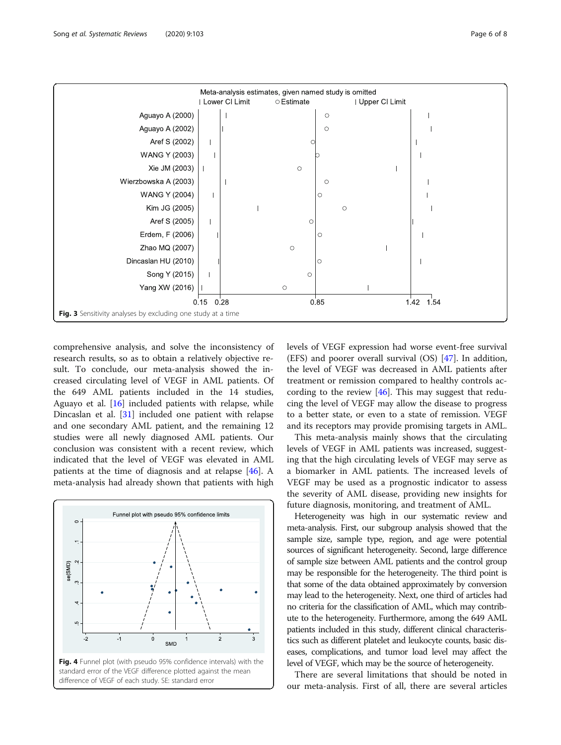<span id="page-5-0"></span>

comprehensive analysis, and solve the inconsistency of research results, so as to obtain a relatively objective result. To conclude, our meta-analysis showed the increased circulating level of VEGF in AML patients. Of the 649 AML patients included in the 14 studies, Aguayo et al. [[16\]](#page-7-0) included patients with relapse, while Dincaslan et al. [\[31](#page-7-0)] included one patient with relapse and one secondary AML patient, and the remaining 12 studies were all newly diagnosed AML patients. Our conclusion was consistent with a recent review, which indicated that the level of VEGF was elevated in AML patients at the time of diagnosis and at relapse [\[46](#page-7-0)]. A meta-analysis had already shown that patients with high



levels of VEGF expression had worse event-free survival (EFS) and poorer overall survival (OS) [[47](#page-7-0)]. In addition, the level of VEGF was decreased in AML patients after treatment or remission compared to healthy controls according to the review  $[46]$  $[46]$ . This may suggest that reducing the level of VEGF may allow the disease to progress to a better state, or even to a state of remission. VEGF and its receptors may provide promising targets in AML.

This meta-analysis mainly shows that the circulating levels of VEGF in AML patients was increased, suggesting that the high circulating levels of VEGF may serve as a biomarker in AML patients. The increased levels of VEGF may be used as a prognostic indicator to assess the severity of AML disease, providing new insights for future diagnosis, monitoring, and treatment of AML.

Heterogeneity was high in our systematic review and meta-analysis. First, our subgroup analysis showed that the sample size, sample type, region, and age were potential sources of significant heterogeneity. Second, large difference of sample size between AML patients and the control group may be responsible for the heterogeneity. The third point is that some of the data obtained approximately by conversion may lead to the heterogeneity. Next, one third of articles had no criteria for the classification of AML, which may contribute to the heterogeneity. Furthermore, among the 649 AML patients included in this study, different clinical characteristics such as different platelet and leukocyte counts, basic diseases, complications, and tumor load level may affect the level of VEGF, which may be the source of heterogeneity.

There are several limitations that should be noted in our meta-analysis. First of all, there are several articles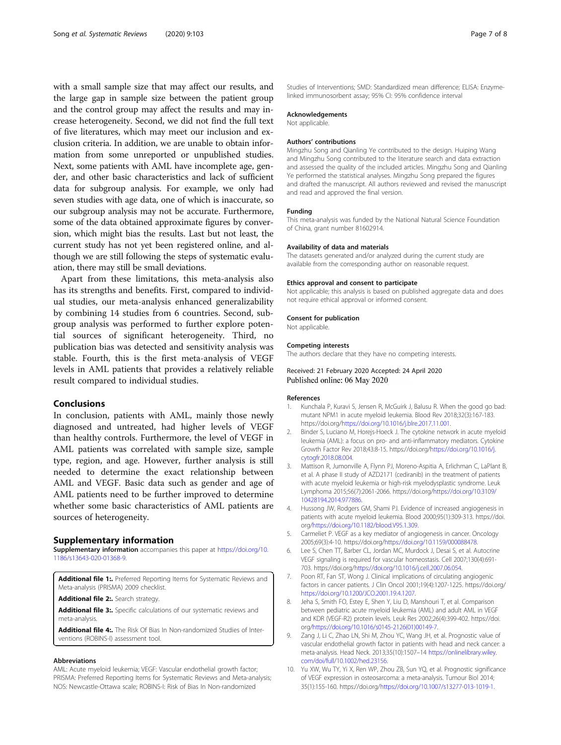<span id="page-6-0"></span>with a small sample size that may affect our results, and the large gap in sample size between the patient group and the control group may affect the results and may increase heterogeneity. Second, we did not find the full text of five literatures, which may meet our inclusion and exclusion criteria. In addition, we are unable to obtain information from some unreported or unpublished studies. Next, some patients with AML have incomplete age, gender, and other basic characteristics and lack of sufficient data for subgroup analysis. For example, we only had seven studies with age data, one of which is inaccurate, so our subgroup analysis may not be accurate. Furthermore, some of the data obtained approximate figures by conversion, which might bias the results. Last but not least, the current study has not yet been registered online, and although we are still following the steps of systematic evaluation, there may still be small deviations.

Apart from these limitations, this meta-analysis also has its strengths and benefits. First, compared to individual studies, our meta-analysis enhanced generalizability by combining 14 studies from 6 countries. Second, subgroup analysis was performed to further explore potential sources of significant heterogeneity. Third, no publication bias was detected and sensitivity analysis was stable. Fourth, this is the first meta-analysis of VEGF levels in AML patients that provides a relatively reliable result compared to individual studies.

## Conclusions

In conclusion, patients with AML, mainly those newly diagnosed and untreated, had higher levels of VEGF than healthy controls. Furthermore, the level of VEGF in AML patients was correlated with sample size, sample type, region, and age. However, further analysis is still needed to determine the exact relationship between AML and VEGF. Basic data such as gender and age of AML patients need to be further improved to determine whether some basic characteristics of AML patients are sources of heterogeneity.

#### Supplementary information

Supplementary information accompanies this paper at [https://doi.org/10.](https://doi.org/10.1186/s13643-020-01368-9) [1186/s13643-020-01368-9](https://doi.org/10.1186/s13643-020-01368-9).

Additional file 1:. Preferred Reporting Items for Systematic Reviews and Meta-analysis (PRISMA) 2009 checklist.

Additional file 2:. Search strategy.

Additional file 3:. Specific calculations of our systematic reviews and meta-analysis.

Additional file 4:. The Risk Of Bias In Non-randomized Studies of Interventions (ROBINS-I) assessment tool.

#### Abbreviations

AML: Acute myeloid leukemia; VEGF: Vascular endothelial growth factor; PRISMA: Preferred Reporting Items for Systematic Reviews and Meta-analysis; NOS: Newcastle-Ottawa scale; ROBINS-I: Risk of Bias In Non-randomized

Studies of Interventions; SMD: Standardized mean difference; ELISA: Enzymelinked immunosorbent assay; 95% CI: 95% confidence interval

#### Acknowledgements

Not applicable.

#### Authors' contributions

Mingzhu Song and Qianling Ye contributed to the design. Huiping Wang and Mingzhu Song contributed to the literature search and data extraction and assessed the quality of the included articles. Mingzhu Song and Qianling Ye performed the statistical analyses. Mingzhu Song prepared the figures and drafted the manuscript. All authors reviewed and revised the manuscript and read and approved the final version.

#### Funding

This meta-analysis was funded by the National Natural Science Foundation of China, grant number 81602914.

#### Availability of data and materials

The datasets generated and/or analyzed during the current study are available from the corresponding author on reasonable request.

#### Ethics approval and consent to participate

Not applicable; this analysis is based on published aggregate data and does not require ethical approval or informed consent.

#### Consent for publication

Not applicable.

#### Competing interests

The authors declare that they have no competing interests.

#### Received: 21 February 2020 Accepted: 24 April 2020 Published online: 06 May 2020

#### References

- Kunchala P, Kuravi S, Jensen R, McGuirk J, Balusu R. When the good go bad: mutant NPM1 in acute myeloid leukemia. Blood Rev 2018;32(3):167-183. https://doi.org/[https://doi.org/10.1016/j.blre.2017.11.001.](https://doi.org/10.1016/j.blre.2017.11.001)
- Binder S, Luciano M, Horejs-Hoeck J. The cytokine network in acute myeloid leukemia (AML): a focus on pro- and anti-inflammatory mediators. Cytokine Growth Factor Rev 2018;43:8-15. https://doi.org/[https://doi.org/10.1016/j.](https://doi.org/10.1016/j.cytogfr.2018.08.004) [cytogfr.2018.08.004.](https://doi.org/10.1016/j.cytogfr.2018.08.004)
- 3. Mattison R, Jumonville A, Flynn PJ, Moreno-Aspitia A, Erlichman C, LaPlant B, et al. A phase II study of AZD2171 (cediranib) in the treatment of patients with acute myeloid leukemia or high-risk myelodysplastic syndrome. Leuk Lymphoma 2015;56(7):2061-2066. https://doi.org[/https://doi.org/10.3109/](https://doi.org/10.3109/10428194.2014.977886) [10428194.2014.977886.](https://doi.org/10.3109/10428194.2014.977886)
- 4. Hussong JW, Rodgers GM, Shami PJ. Evidence of increased angiogenesis in patients with acute myeloid leukemia. Blood 2000;95(1):309-313. https://doi. org/<https://doi.org/10.1182/blood.V95.1.309>.
- 5. Carmeliet P. VEGF as a key mediator of angiogenesis in cancer. Oncology 2005;69(3):4-10. https://doi.org[/https://doi.org/10.1159/000088478](https://doi.org/10.1159/000088478).
- 6. Lee S, Chen TT, Barber CL, Jordan MC, Murdock J, Desai S, et al. Autocrine VEGF signaling is required for vascular homeostasis. Cell 2007;130(4):691- 703. https://doi.org[/https://doi.org/10.1016/j.cell.2007.06.054](https://doi.org/10.1016/j.cell.2007.06.054).
- 7. Poon RT, Fan ST, Wong J. Clinical implications of circulating angiogenic factors in cancer patients. J Clin Oncol 2001;19(4):1207-1225. https://doi.org/ <https://doi.org/10.1200/JCO.2001.19.4.1207>.
- 8. Jeha S, Smith FO, Estey E, Shen Y, Liu D, Manshouri T, et al. Comparison between pediatric acute myeloid leukemia (AML) and adult AML in VEGF and KDR (VEGF-R2) protein levels. Leuk Res 2002;26(4):399-402. https://doi. org/[https://doi.org/10.1016/s0145-2126\(01\)00149-7](https://doi.org/10.1016/s0145-2126(01)00149-7).
- 9. Zang J, Li C, Zhao LN, Shi M, Zhou YC, Wang JH, et al. Prognostic value of vascular endothelial growth factor in patients with head and neck cancer: a meta-analysis. Head Neck. 2013;35(10):1507–14 [https://onlinelibrary.wiley.](https://onlinelibrary.wiley.com/doi/full/10.1002/hed.23156) [com/doi/full/10.1002/hed.23156.](https://onlinelibrary.wiley.com/doi/full/10.1002/hed.23156)
- 10. Yu XW, Wu TY, Yi X, Ren WP, Zhou ZB, Sun YQ, et al. Prognostic significance of VEGF expression in osteosarcoma: a meta-analysis. Tumour Biol 2014; 35(1):155-160. https://doi.org/<https://doi.org/10.1007/s13277-013-1019-1>.